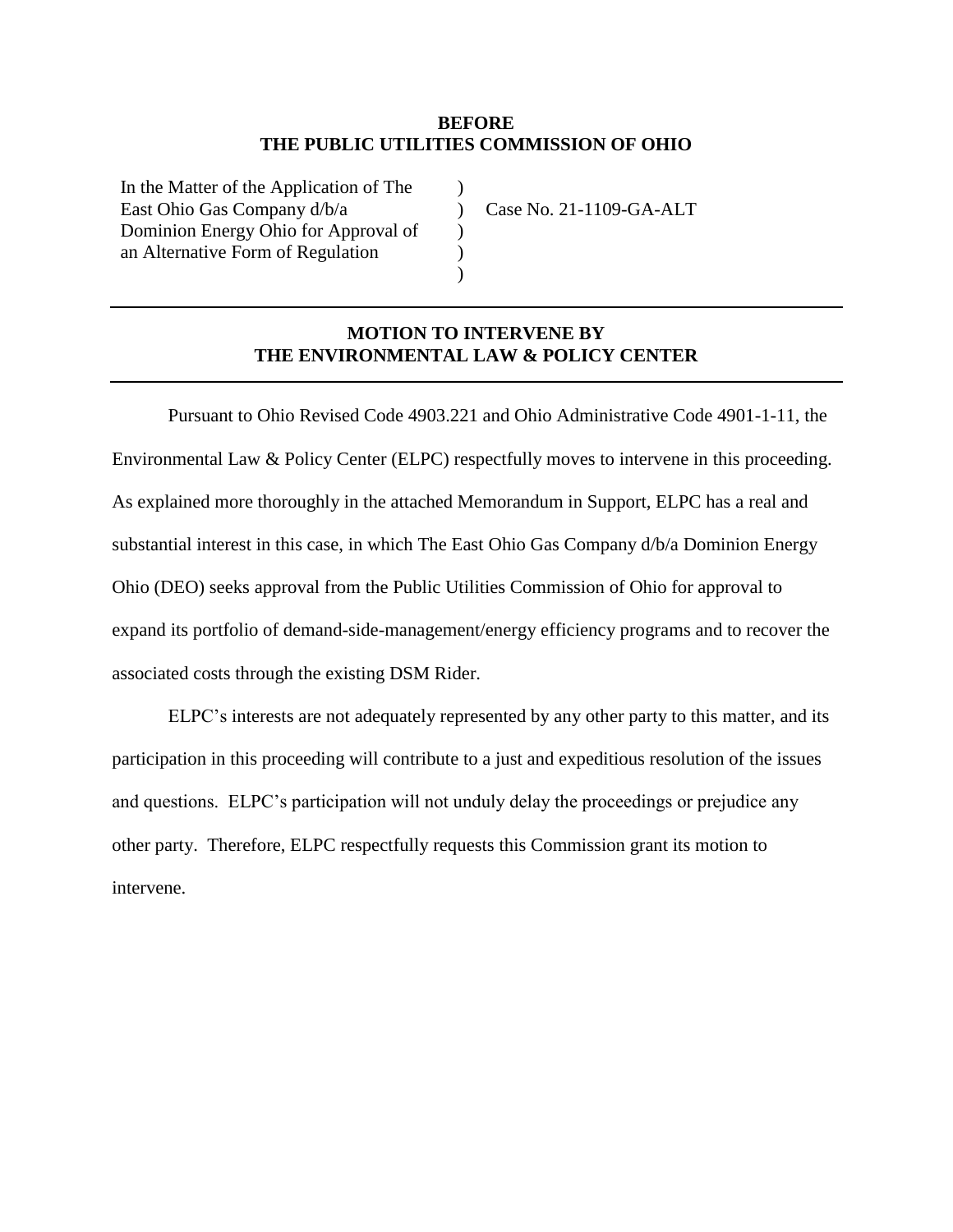### **BEFORE THE PUBLIC UTILITIES COMMISSION OF OHIO**

 $\lambda$  $\mathcal{L}$  $\mathcal{L}$  $\mathcal{L}$ )

In the Matter of the Application of The East Ohio Gas Company d/b/a Dominion Energy Ohio for Approval of an Alternative Form of Regulation

Case No. 21-1109-GA-ALT

## **MOTION TO INTERVENE BY THE ENVIRONMENTAL LAW & POLICY CENTER**

Pursuant to Ohio Revised Code 4903.221 and Ohio Administrative Code 4901-1-11, the Environmental Law & Policy Center (ELPC) respectfully moves to intervene in this proceeding. As explained more thoroughly in the attached Memorandum in Support, ELPC has a real and substantial interest in this case, in which The East Ohio Gas Company d/b/a Dominion Energy Ohio (DEO) seeks approval from the Public Utilities Commission of Ohio for approval to expand its portfolio of demand-side-management/energy efficiency programs and to recover the associated costs through the existing DSM Rider.

ELPC's interests are not adequately represented by any other party to this matter, and its participation in this proceeding will contribute to a just and expeditious resolution of the issues and questions. ELPC's participation will not unduly delay the proceedings or prejudice any other party. Therefore, ELPC respectfully requests this Commission grant its motion to intervene.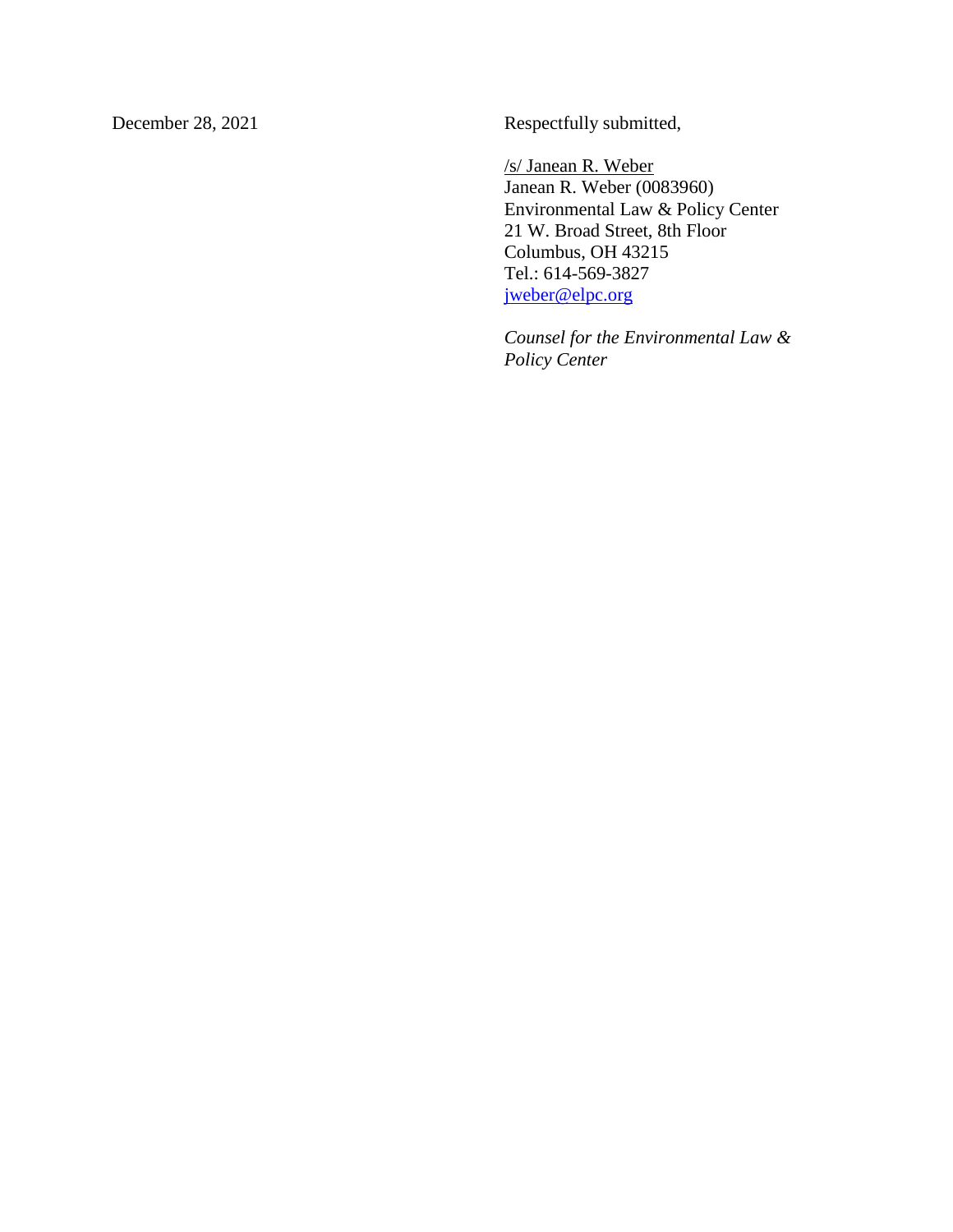December 28, 2021 Respectfully submitted,

/s/ Janean R. Weber Janean R. Weber (0083960) Environmental Law & Policy Center 21 W. Broad Street, 8th Floor Columbus, OH 43215 Tel.: 614-569-3827 [jweber@elpc.org](mailto:ccox@elpc.org)

*Counsel for the Environmental Law & Policy Center*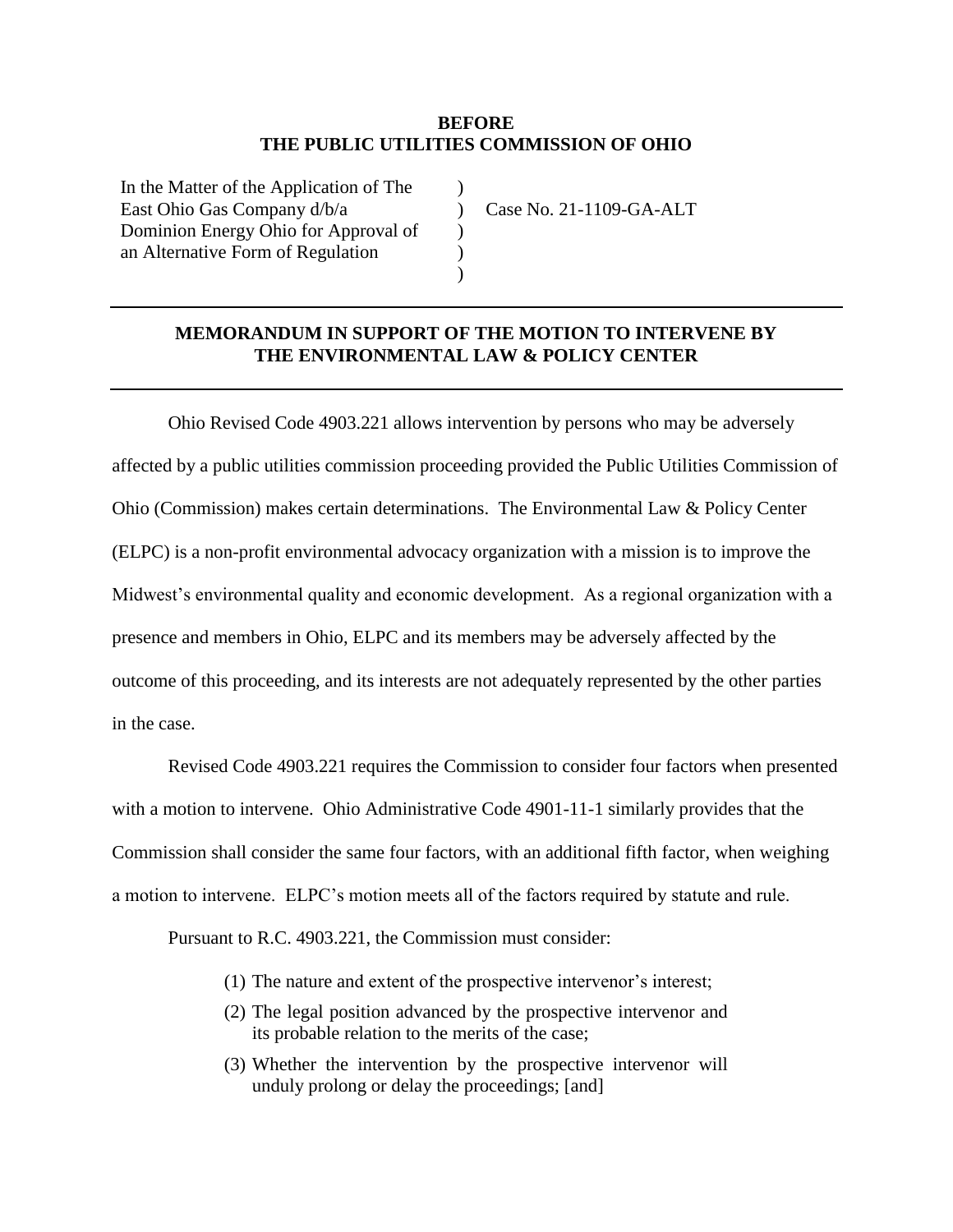### **BEFORE THE PUBLIC UTILITIES COMMISSION OF OHIO**

 $\lambda$  $\mathcal{L}$  $\mathcal{L}$  $\mathcal{L}$ )

In the Matter of the Application of The East Ohio Gas Company d/b/a Dominion Energy Ohio for Approval of an Alternative Form of Regulation

Case No. 21-1109-GA-ALT

### **MEMORANDUM IN SUPPORT OF THE MOTION TO INTERVENE BY THE ENVIRONMENTAL LAW & POLICY CENTER**

Ohio Revised Code 4903.221 allows intervention by persons who may be adversely affected by a public utilities commission proceeding provided the Public Utilities Commission of Ohio (Commission) makes certain determinations. The Environmental Law & Policy Center (ELPC) is a non-profit environmental advocacy organization with a mission is to improve the Midwest's environmental quality and economic development. As a regional organization with a presence and members in Ohio, ELPC and its members may be adversely affected by the outcome of this proceeding, and its interests are not adequately represented by the other parties in the case.

Revised Code 4903.221 requires the Commission to consider four factors when presented with a motion to intervene. Ohio Administrative Code 4901-11-1 similarly provides that the Commission shall consider the same four factors, with an additional fifth factor, when weighing a motion to intervene. ELPC's motion meets all of the factors required by statute and rule.

Pursuant to R.C. 4903.221, the Commission must consider:

- (1) The nature and extent of the prospective intervenor's interest;
- (2) The legal position advanced by the prospective intervenor and its probable relation to the merits of the case;
- (3) Whether the intervention by the prospective intervenor will unduly prolong or delay the proceedings; [and]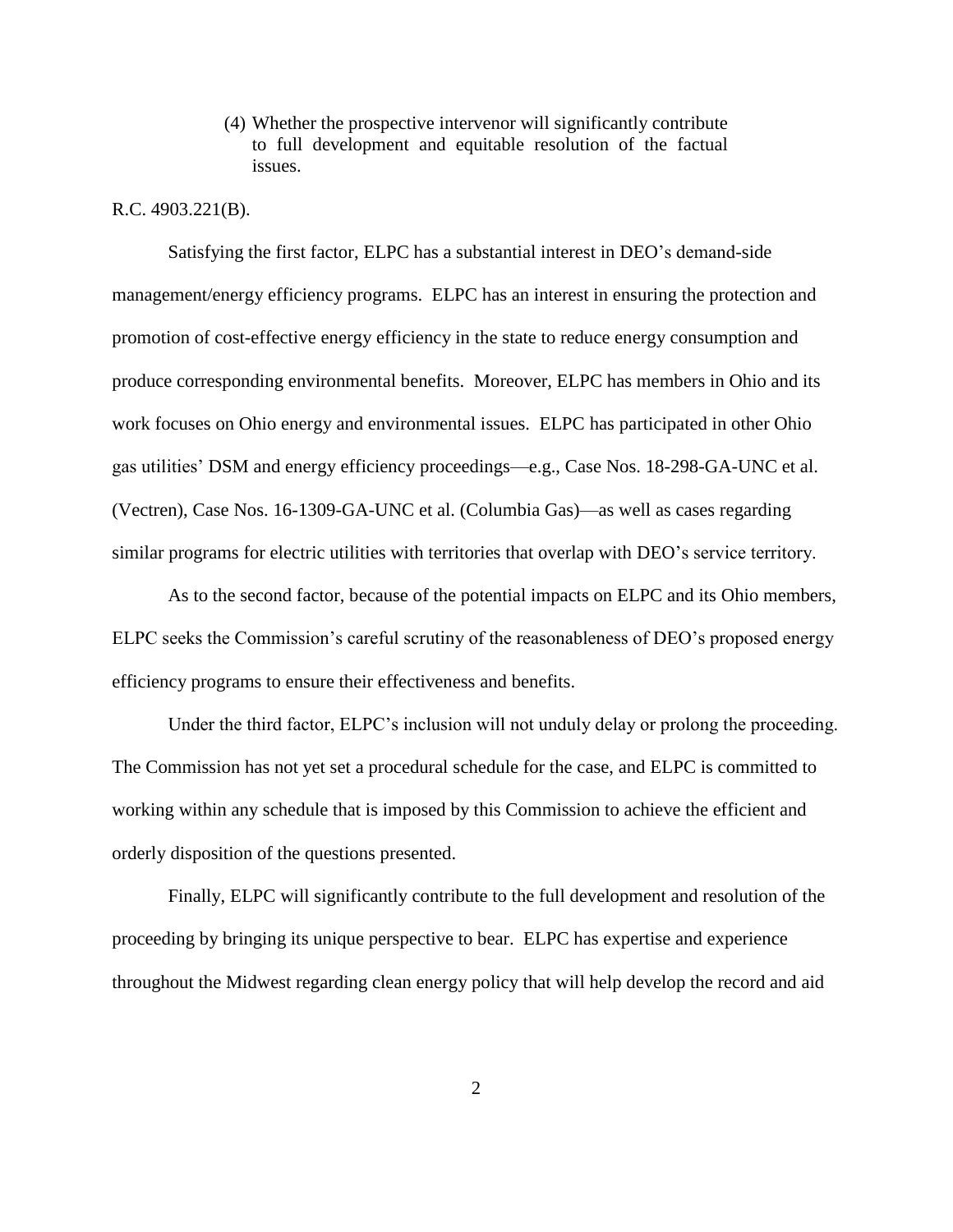(4) Whether the prospective intervenor will significantly contribute to full development and equitable resolution of the factual issues.

#### R.C. 4903.221(B).

Satisfying the first factor, ELPC has a substantial interest in DEO's demand-side management/energy efficiency programs. ELPC has an interest in ensuring the protection and promotion of cost-effective energy efficiency in the state to reduce energy consumption and produce corresponding environmental benefits. Moreover, ELPC has members in Ohio and its work focuses on Ohio energy and environmental issues. ELPC has participated in other Ohio gas utilities' DSM and energy efficiency proceedings—e.g., Case Nos. 18-298-GA-UNC et al. (Vectren), Case Nos. 16-1309-GA-UNC et al. (Columbia Gas)—as well as cases regarding similar programs for electric utilities with territories that overlap with DEO's service territory.

As to the second factor, because of the potential impacts on ELPC and its Ohio members, ELPC seeks the Commission's careful scrutiny of the reasonableness of DEO's proposed energy efficiency programs to ensure their effectiveness and benefits.

Under the third factor, ELPC's inclusion will not unduly delay or prolong the proceeding. The Commission has not yet set a procedural schedule for the case, and ELPC is committed to working within any schedule that is imposed by this Commission to achieve the efficient and orderly disposition of the questions presented.

Finally, ELPC will significantly contribute to the full development and resolution of the proceeding by bringing its unique perspective to bear. ELPC has expertise and experience throughout the Midwest regarding clean energy policy that will help develop the record and aid

2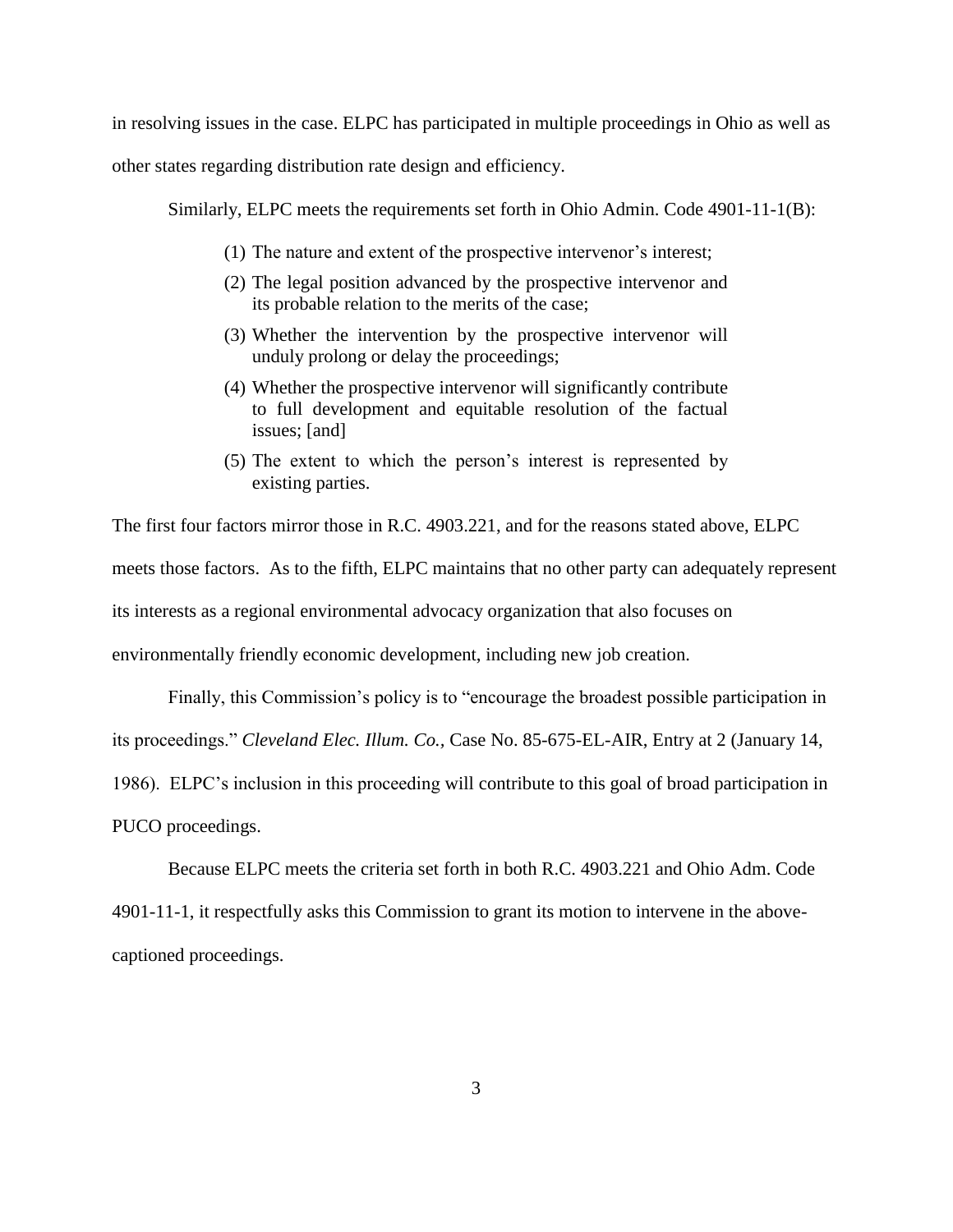in resolving issues in the case. ELPC has participated in multiple proceedings in Ohio as well as

other states regarding distribution rate design and efficiency.

Similarly, ELPC meets the requirements set forth in Ohio Admin. Code 4901-11-1(B):

- (1) The nature and extent of the prospective intervenor's interest;
- (2) The legal position advanced by the prospective intervenor and its probable relation to the merits of the case;
- (3) Whether the intervention by the prospective intervenor will unduly prolong or delay the proceedings;
- (4) Whether the prospective intervenor will significantly contribute to full development and equitable resolution of the factual issues; [and]
- (5) The extent to which the person's interest is represented by existing parties.

The first four factors mirror those in R.C. 4903.221, and for the reasons stated above, ELPC meets those factors. As to the fifth, ELPC maintains that no other party can adequately represent its interests as a regional environmental advocacy organization that also focuses on environmentally friendly economic development, including new job creation.

Finally, this Commission's policy is to "encourage the broadest possible participation in its proceedings." *Cleveland Elec. Illum. Co.,* Case No. 85-675-EL-AIR, Entry at 2 (January 14, 1986). ELPC's inclusion in this proceeding will contribute to this goal of broad participation in PUCO proceedings.

Because ELPC meets the criteria set forth in both R.C. 4903.221 and Ohio Adm. Code 4901-11-1, it respectfully asks this Commission to grant its motion to intervene in the abovecaptioned proceedings.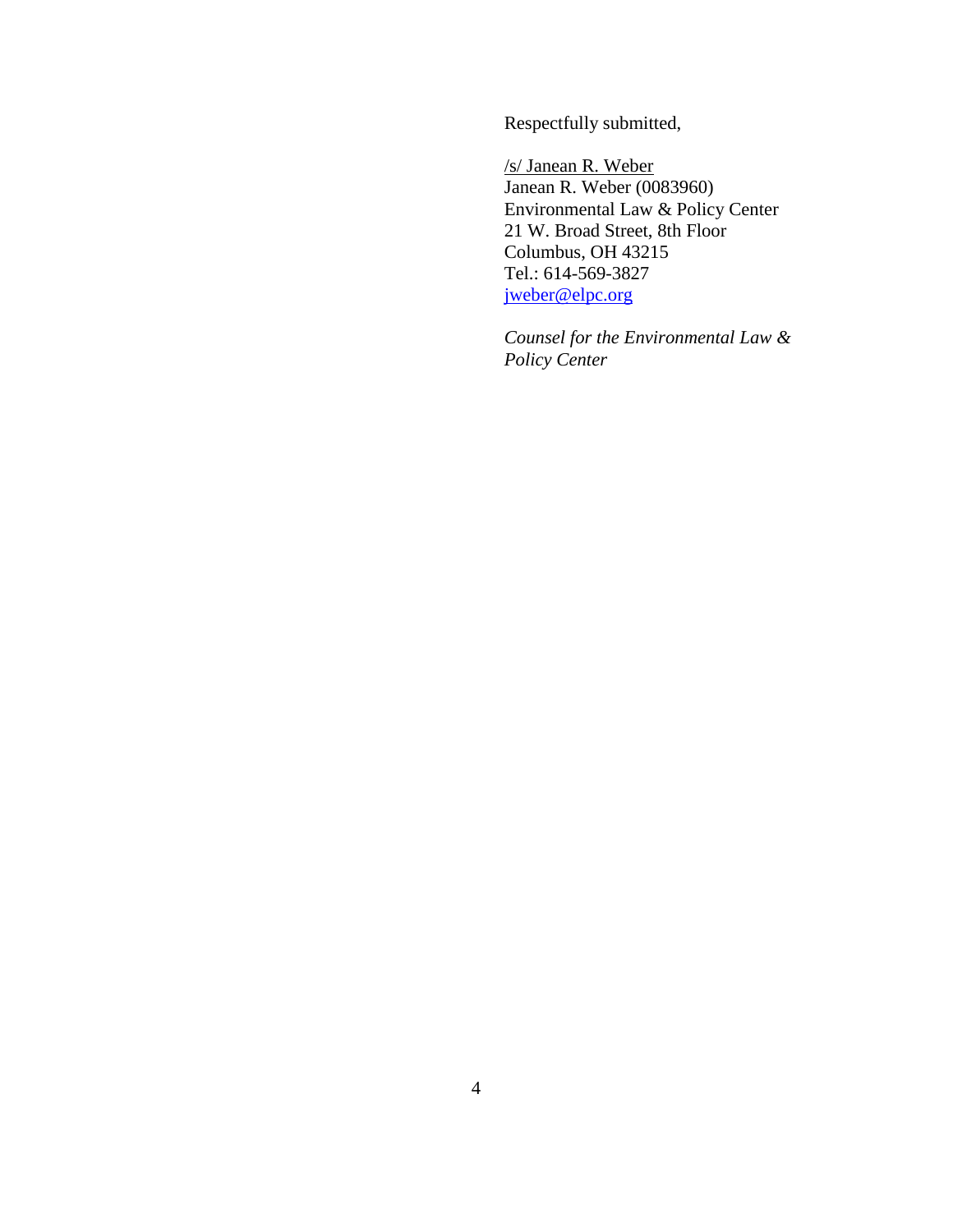Respectfully submitted,

/s/ Janean R. Weber Janean R. Weber (0083960) Environmental Law & Policy Center 21 W. Broad Street, 8th Floor Columbus, OH 43215 Tel.: 614-569-3827 [jweber@elpc.org](mailto:ccox@elpc.org)

*Counsel for the Environmental Law & Policy Center*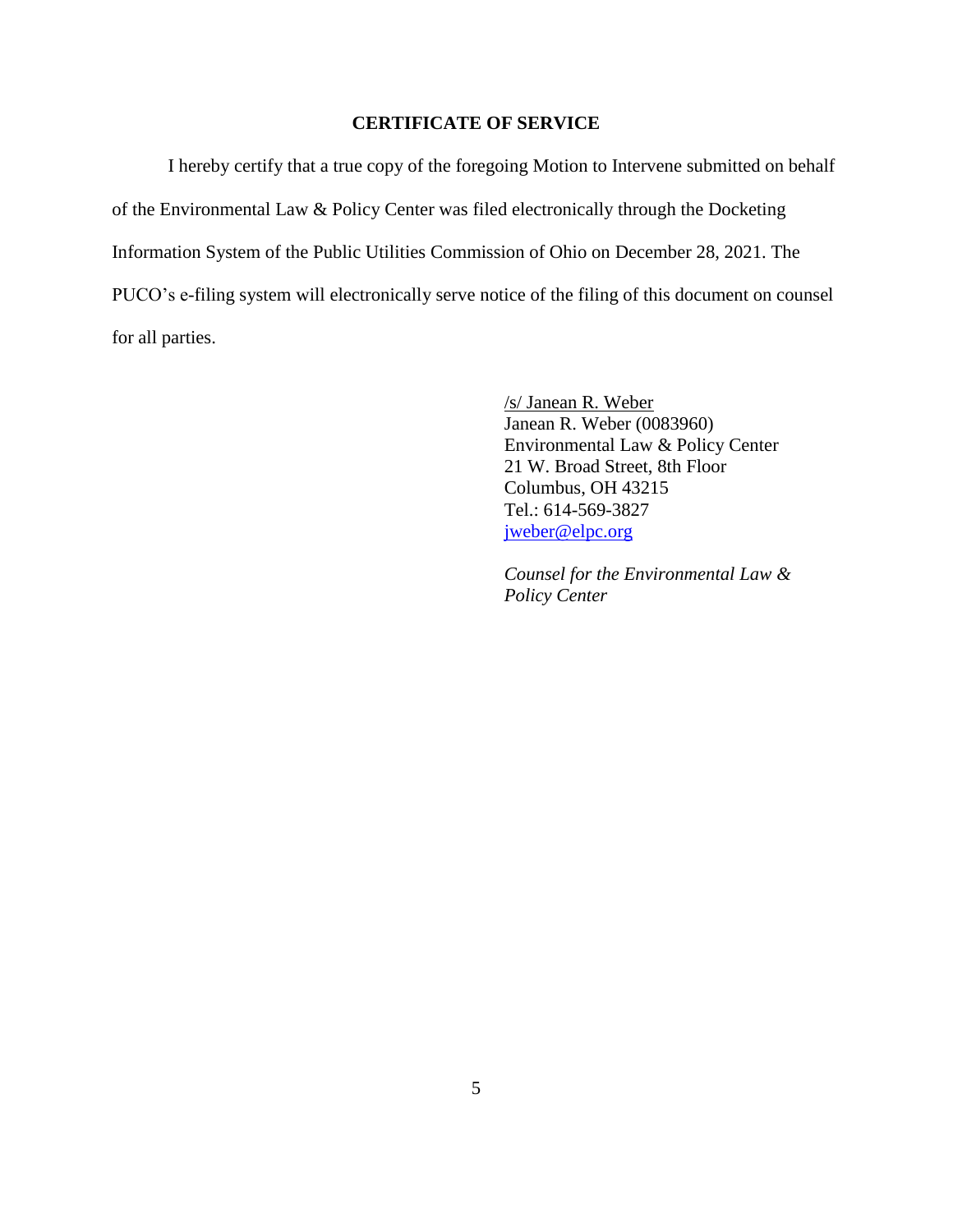### **CERTIFICATE OF SERVICE**

I hereby certify that a true copy of the foregoing Motion to Intervene submitted on behalf of the Environmental Law & Policy Center was filed electronically through the Docketing Information System of the Public Utilities Commission of Ohio on December 28, 2021. The PUCO's e-filing system will electronically serve notice of the filing of this document on counsel for all parties.

> /s/ Janean R. Weber Janean R. Weber (0083960) Environmental Law & Policy Center 21 W. Broad Street, 8th Floor Columbus, OH 43215 Tel.: 614-569-3827 [jweber@elpc.org](mailto:ccox@elpc.org)

*Counsel for the Environmental Law & Policy Center*